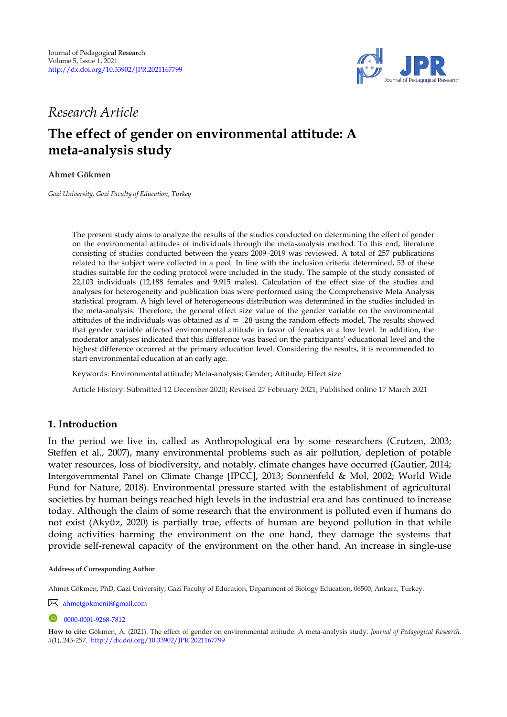

## *Research Article*

# **The effect of gender on environmental attitude: A meta-analysis study**

**Ahmet Gökmen <sup>1</sup>**

*Gazi University, Gazi Faculty of Education, Turkey* 

The present study aims to analyze the results of the studies conducted on determining the effect of gender on the environmental attitudes of individuals through the meta-analysis method. To this end, literature consisting of studies conducted between the years 2009–2019 was reviewed. A total of 257 publications related to the subject were collected in a pool. In line with the inclusion criteria determined, 53 of these studies suitable for the coding protocol were included in the study. The sample of the study consisted of 22,103 individuals (12,188 females and 9,915 males). Calculation of the effect size of the studies and analyses for heterogeneity and publication bias were performed using the Comprehensive Meta Analysis statistical program. A high level of heterogeneous distribution was determined in the studies included in the meta-analysis. Therefore, the general effect size value of the gender variable on the environmental attitudes of the individuals was obtained as  $d = .28$  using the random effects model. The results showed that gender variable affected environmental attitude in favor of females at a low level. In addition, the moderator analyses indicated that this difference was based on the participants' educational level and the highest difference occurred at the primary education level. Considering the results, it is recommended to start environmental education at an early age.

Keywords: Environmental attitude; Meta-analysis; Gender; Attitude; Effect size

Article History: Submitted 12 December 2020; Revised 27 February 2021; Published online 17 March 2021

### **1. Introduction**

In the period we live in, called as Anthropological era by some researchers (Crutzen, 2003; Steffen et al., 2007), many environmental problems such as air pollution, depletion of potable water resources, loss of biodiversity, and notably, climate changes have occurred (Gautier, 2014; Intergovernmental Panel on Climate Change [IPCC], 2013; Sonnenfeld & Mol, 2002; World Wide Fund for Nature, 2018). Environmental pressure started with the establishment of agricultural societies by human beings reached high levels in the industrial era and has continued to increase today. Although the claim of some research that the environment is polluted even if humans do not exist (Akyüz, 2020) is partially true, effects of human are beyond pollution in that while doing activities harming the environment on the one hand, they damage the systems that provide self-renewal capacity of the environment on the other hand. An increase in single-use

[ahmetgokmenii@gmail.com](mailto:ahmetgokmenii@gmail.com)

**Address of Corresponding Author**

Ahmet Gökmen, PhD, Gazi University, Gazi Faculty of Education, Department of Biology Education, 06500, Ankara, Turkey.

 $\n 0000 - 0001 - 9268 - 7812\n$ 

**How to cite:** Gökmen, A. (2021). The effect of gender on environmental attitude: A meta-analysis study. *Journal of Pedagogical Research, 5*(1), 243-257. <http://dx.doi.org/10.33902/JPR.2021167799>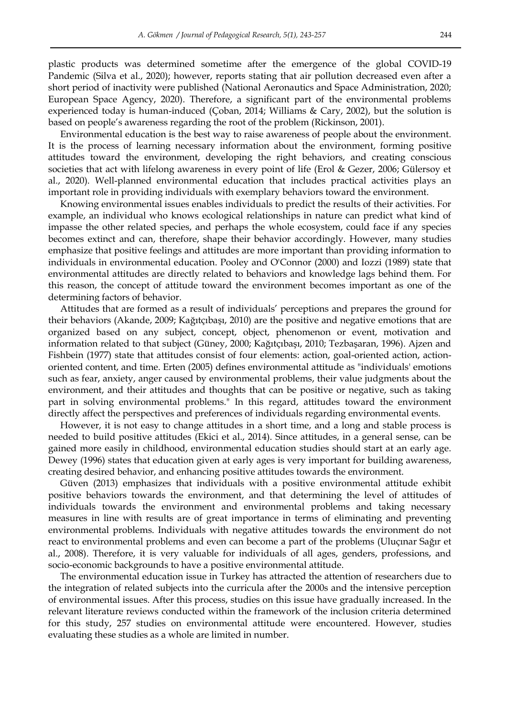plastic products was determined sometime after the emergence of the global COVID-19 Pandemic (Silva et al., 2020); however, reports stating that air pollution decreased even after a

short period of inactivity were published (National Aeronautics and Space Administration, 2020; European Space Agency, 2020). Therefore, a significant part of the environmental problems experienced today is human-induced (Çoban, 2014; Williams & Cary, 2002), but the solution is based on people's awareness regarding the root of the problem (Rickinson, 2001).

Environmental education is the best way to raise awareness of people about the environment. It is the process of learning necessary information about the environment, forming positive attitudes toward the environment, developing the right behaviors, and creating conscious societies that act with lifelong awareness in every point of life (Erol & Gezer, 2006; Gülersoy et al., 2020). Well-planned environmental education that includes practical activities plays an important role in providing individuals with exemplary behaviors toward the environment.

Knowing environmental issues enables individuals to predict the results of their activities. For example, an individual who knows ecological relationships in nature can predict what kind of impasse the other related species, and perhaps the whole ecosystem, could face if any species becomes extinct and can, therefore, shape their behavior accordingly. However, many studies emphasize that positive feelings and attitudes are more important than providing information to individuals in environmental education. Pooley and O'Connor (2000) and Iozzi (1989) state that environmental attitudes are directly related to behaviors and knowledge lags behind them. For this reason, the concept of attitude toward the environment becomes important as one of the determining factors of behavior.

Attitudes that are formed as a result of individuals' perceptions and prepares the ground for their behaviors (Akande, 2009; Kağıtçıbaşı, 2010) are the positive and negative emotions that are organized based on any subject, concept, object, phenomenon or event, motivation and information related to that subject (Güney, 2000; Kağıtçıbaşı, 2010; Tezbaşaran, 1996). Ajzen and Fishbein (1977) state that attitudes consist of four elements: action, goal-oriented action, actionoriented content, and time. Erten (2005) defines environmental attitude as "individuals' emotions such as fear, anxiety, anger caused by environmental problems, their value judgments about the environment, and their attitudes and thoughts that can be positive or negative, such as taking part in solving environmental problems." In this regard, attitudes toward the environment directly affect the perspectives and preferences of individuals regarding environmental events.

However, it is not easy to change attitudes in a short time, and a long and stable process is needed to build positive attitudes (Ekici et al., 2014). Since attitudes, in a general sense, can be gained more easily in childhood, environmental education studies should start at an early age. Dewey (1996) states that education given at early ages is very important for building awareness, creating desired behavior, and enhancing positive attitudes towards the environment.

Güven (2013) emphasizes that individuals with a positive environmental attitude exhibit positive behaviors towards the environment, and that determining the level of attitudes of individuals towards the environment and environmental problems and taking necessary measures in line with results are of great importance in terms of eliminating and preventing environmental problems. Individuals with negative attitudes towards the environment do not react to environmental problems and even can become a part of the problems (Uluçınar Sağır et al., 2008). Therefore, it is very valuable for individuals of all ages, genders, professions, and socio-economic backgrounds to have a positive environmental attitude.

The environmental education issue in Turkey has attracted the attention of researchers due to the integration of related subjects into the curricula after the 2000s and the intensive perception of environmental issues. After this process, studies on this issue have gradually increased. In the relevant literature reviews conducted within the framework of the inclusion criteria determined for this study, 257 studies on environmental attitude were encountered. However, studies evaluating these studies as a whole are limited in number.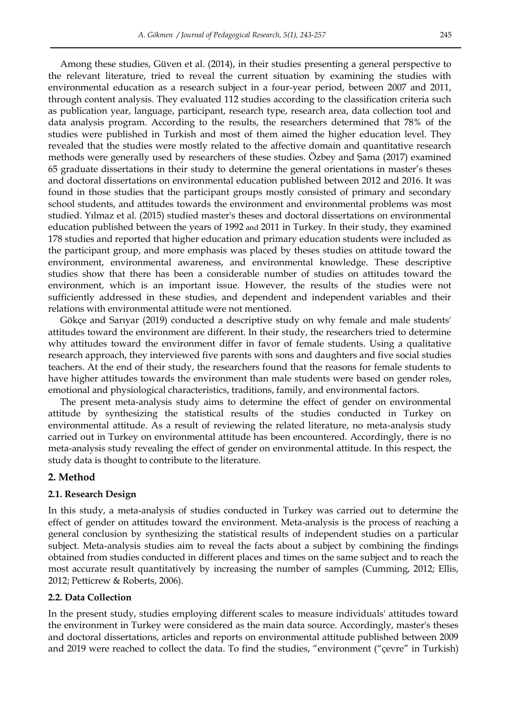Among these studies, Güven et al. (2014), in their studies presenting a general perspective to the relevant literature, tried to reveal the current situation by examining the studies with environmental education as a research subject in a four-year period, between 2007 and 2011, through content analysis. They evaluated 112 studies according to the classification criteria such as publication year, language, participant, research type, research area, data collection tool and data analysis program. According to the results, the researchers determined that 78% of the studies were published in Turkish and most of them aimed the higher education level. They revealed that the studies were mostly related to the affective domain and quantitative research methods were generally used by researchers of these studies. Özbey and Şama (2017) examined 65 graduate dissertations in their study to determine the general orientations in master's theses and doctoral dissertations on environmental education published between 2012 and 2016. It was found in those studies that the participant groups mostly consisted of primary and secondary school students, and attitudes towards the environment and environmental problems was most studied. Yılmaz et al. (2015) studied master's theses and doctoral dissertations on environmental education published between the years of 1992 and 2011 in Turkey. In their study, they examined 178 studies and reported that higher education and primary education students were included as the participant group, and more emphasis was placed by theses studies on attitude toward the

environment, environmental awareness, and environmental knowledge. These descriptive studies show that there has been a considerable number of studies on attitudes toward the environment, which is an important issue. However, the results of the studies were not sufficiently addressed in these studies, and dependent and independent variables and their relations with environmental attitude were not mentioned.

Gökçe and Sarıyar (2019) conducted a descriptive study on why female and male students' attitudes toward the environment are different. In their study, the researchers tried to determine why attitudes toward the environment differ in favor of female students. Using a qualitative research approach, they interviewed five parents with sons and daughters and five social studies teachers. At the end of their study, the researchers found that the reasons for female students to have higher attitudes towards the environment than male students were based on gender roles, emotional and physiological characteristics, traditions, family, and environmental factors.

The present meta-analysis study aims to determine the effect of gender on environmental attitude by synthesizing the statistical results of the studies conducted in Turkey on environmental attitude. As a result of reviewing the related literature, no meta-analysis study carried out in Turkey on environmental attitude has been encountered. Accordingly, there is no meta-analysis study revealing the effect of gender on environmental attitude. In this respect, the study data is thought to contribute to the literature.

#### **2. Method**

#### **2.1. Research Design**

In this study, a meta-analysis of studies conducted in Turkey was carried out to determine the effect of gender on attitudes toward the environment. Meta-analysis is the process of reaching a general conclusion by synthesizing the statistical results of independent studies on a particular subject. Meta-analysis studies aim to reveal the facts about a subject by combining the findings obtained from studies conducted in different places and times on the same subject and to reach the most accurate result quantitatively by increasing the number of samples (Cumming, 2012; Ellis, 2012; Petticrew & Roberts, 2006).

#### **2.2. Data Collection**

In the present study, studies employing different scales to measure individuals' attitudes toward the environment in Turkey were considered as the main data source. Accordingly, master's theses and doctoral dissertations, articles and reports on environmental attitude published between 2009 and 2019 were reached to collect the data. To find the studies, "environment ("çevre" in Turkish)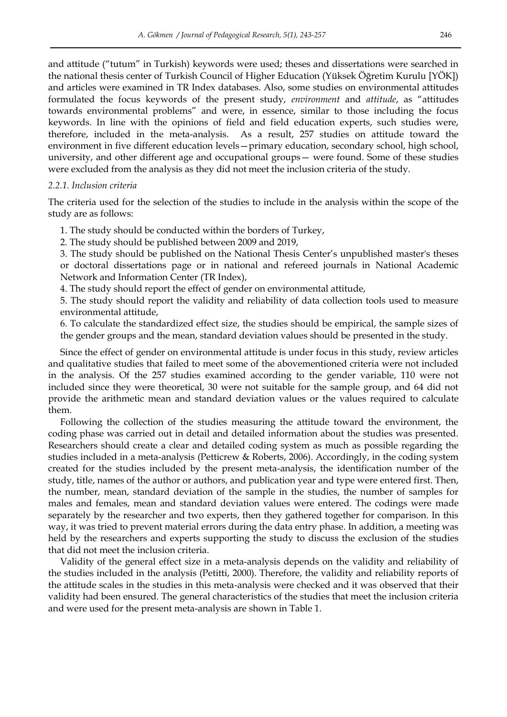and attitude ("tutum" in Turkish) keywords were used; theses and dissertations were searched in the national thesis center of Turkish Council of Higher Education (Yüksek Öğretim Kurulu [YÖK]) and articles were examined in TR Index databases. Also, some studies on environmental attitudes formulated the focus keywords of the present study, environment and attitude, as "attitudes towards environmental problems" and were, in essence, similar to those including the focus keywords. In line with the opinions of field and field education experts, such studies were, therefore, included in the meta-analysis. As a result, 257 studies on attitude toward the environment in five different education levels—primary education, secondary school, high school, university, and other different age and occupational groups— were found. Some of these studies were excluded from the analysis as they did not meet the inclusion criteria of the study.

#### *2.2.1. Inclusion criteria*

The criteria used for the selection of the studies to include in the analysis within the scope of the study are as follows:

1. The study should be conducted within the borders of Turkey,

2. The study should be published between 2009 and 2019,

3. The study should be published on the National Thesis Center's unpublished master's theses or doctoral dissertations page or in national and refereed journals in National Academic Network and Information Center (TR Index),

4. The study should report the effect of gender on environmental attitude,

5. The study should report the validity and reliability of data collection tools used to measure environmental attitude,

6. To calculate the standardized effect size, the studies should be empirical, the sample sizes of the gender groups and the mean, standard deviation values should be presented in the study.

Since the effect of gender on environmental attitude is under focus in this study, review articles and qualitative studies that failed to meet some of the abovementioned criteria were not included in the analysis. Of the 257 studies examined according to the gender variable, 110 were not included since they were theoretical, 30 were not suitable for the sample group, and 64 did not provide the arithmetic mean and standard deviation values or the values required to calculate them.

Following the collection of the studies measuring the attitude toward the environment, the coding phase was carried out in detail and detailed information about the studies was presented. Researchers should create a clear and detailed coding system as much as possible regarding the studies included in a meta-analysis (Petticrew & Roberts, 2006). Accordingly, in the coding system created for the studies included by the present meta-analysis, the identification number of the study, title, names of the author or authors, and publication year and type were entered first. Then, the number, mean, standard deviation of the sample in the studies, the number of samples for males and females, mean and standard deviation values were entered. The codings were made separately by the researcher and two experts, then they gathered together for comparison. In this way, it was tried to prevent material errors during the data entry phase. In addition, a meeting was held by the researchers and experts supporting the study to discuss the exclusion of the studies that did not meet the inclusion criteria.

Validity of the general effect size in a meta-analysis depends on the validity and reliability of the studies included in the analysis (Petitti, 2000). Therefore, the validity and reliability reports of the attitude scales in the studies in this meta-analysis were checked and it was observed that their validity had been ensured. The general characteristics of the studies that meet the inclusion criteria and were used for the present meta-analysis are shown in Table 1.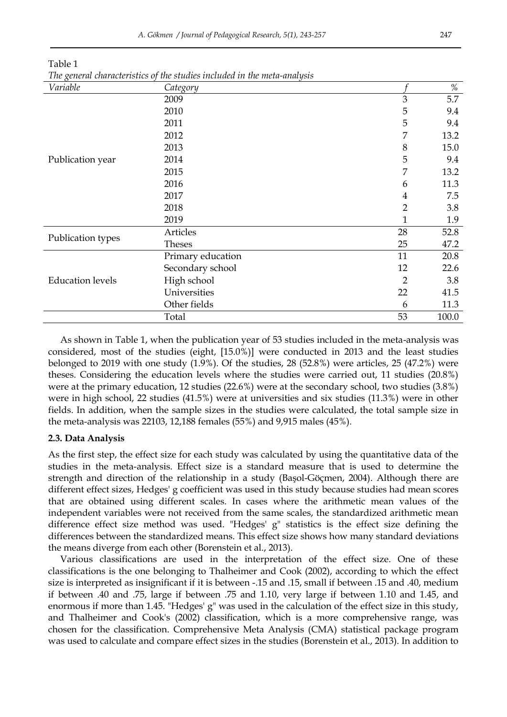| Variable                | Category          |                | %     |
|-------------------------|-------------------|----------------|-------|
|                         | 2009              | 3              | 5.7   |
|                         | 2010              | 5              | 9.4   |
|                         | 2011              | 5              | 9.4   |
|                         | 2012              | 7              | 13.2  |
|                         | 2013              | 8              | 15.0  |
| Publication year        | 2014              | 5              | 9.4   |
|                         | 2015              | 7              | 13.2  |
|                         | 2016              | 6              | 11.3  |
|                         | 2017              | 4              | 7.5   |
|                         | 2018              | $\overline{2}$ | 3.8   |
|                         | 2019              | $\mathbf{1}$   | 1.9   |
|                         | Articles          | 28             | 52.8  |
| Publication types       | Theses            | 25             | 47.2  |
|                         | Primary education | 11             | 20.8  |
|                         | Secondary school  | 12             | 22.6  |
| <b>Education</b> levels | High school       | 2              | 3.8   |
|                         | Universities      | 22             | 41.5  |
|                         | Other fields      | 6              | 11.3  |
|                         | Total             | 53             | 100.0 |

Table 1 *The general characteristics of the studies included in the meta-analysis* 

As shown in Table 1, when the publication year of 53 studies included in the meta-analysis was considered, most of the studies (eight, [15.0%)] were conducted in 2013 and the least studies belonged to 2019 with one study (1.9%). Of the studies, 28 (52.8%) were articles, 25 (47.2%) were theses. Considering the education levels where the studies were carried out, 11 studies (20.8%) were at the primary education, 12 studies (22.6%) were at the secondary school, two studies (3.8%) were in high school, 22 studies (41.5%) were at universities and six studies (11.3%) were in other fields. In addition, when the sample sizes in the studies were calculated, the total sample size in the meta-analysis was 22103, 12,188 females (55%) and 9,915 males (45%).

#### **2.3. Data Analysis**

As the first step, the effect size for each study was calculated by using the quantitative data of the studies in the meta-analysis. Effect size is a standard measure that is used to determine the strength and direction of the relationship in a study (Başol-Göçmen, 2004). Although there are different effect sizes, Hedges' g coefficient was used in this study because studies had mean scores that are obtained using different scales. In cases where the arithmetic mean values of the independent variables were not received from the same scales, the standardized arithmetic mean difference effect size method was used. "Hedges' g" statistics is the effect size defining the differences between the standardized means. This effect size shows how many standard deviations the means diverge from each other (Borenstein et al., 2013).

Various classifications are used in the interpretation of the effect size. One of these classifications is the one belonging to Thalheimer and Cook (2002), according to which the effect size is interpreted as insignificant if it is between -.15 and .15, small if between .15 and .40, medium if between .40 and .75, large if between .75 and 1.10, very large if between 1.10 and 1.45, and enormous if more than 1.45. "Hedges' g" was used in the calculation of the effect size in this study, and Thalheimer and Cook's (2002) classification, which is a more comprehensive range, was chosen for the classification. Comprehensive Meta Analysis (CMA) statistical package program was used to calculate and compare effect sizes in the studies (Borenstein et al., 2013). In addition to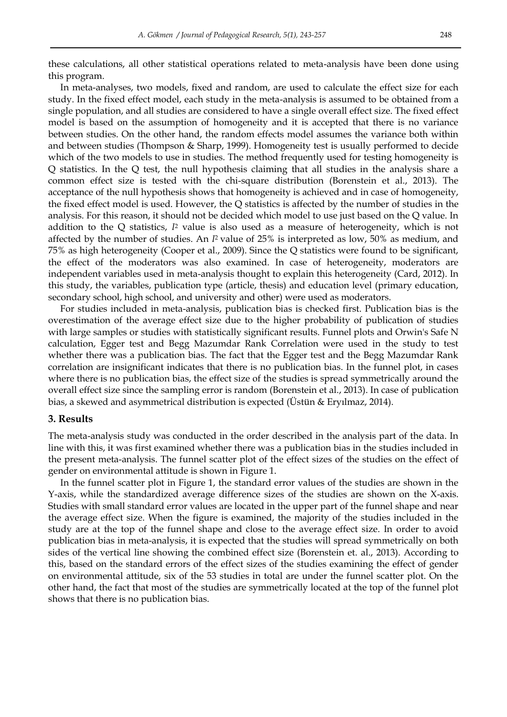these calculations, all other statistical operations related to meta-analysis have been done using this program.

In meta-analyses, two models, fixed and random, are used to calculate the effect size for each study. In the fixed effect model, each study in the meta-analysis is assumed to be obtained from a single population, and all studies are considered to have a single overall effect size. The fixed effect model is based on the assumption of homogeneity and it is accepted that there is no variance between studies. On the other hand, the random effects model assumes the variance both within and between studies (Thompson & Sharp, 1999). Homogeneity test is usually performed to decide which of the two models to use in studies. The method frequently used for testing homogeneity is Q statistics. In the Q test, the null hypothesis claiming that all studies in the analysis share a common effect size is tested with the chi-square distribution (Borenstein et al., 2013). The acceptance of the null hypothesis shows that homogeneity is achieved and in case of homogeneity, the fixed effect model is used. However, the Q statistics is affected by the number of studies in the analysis. For this reason, it should not be decided which model to use just based on the Q value. In addition to the Q statistics, *I* <sup>2</sup> value is also used as a measure of heterogeneity, which is not affected by the number of studies. An *I*<sup>2</sup> value of 25% is interpreted as low, 50% as medium, and 75% as high heterogeneity (Cooper et al., 2009). Since the Q statistics were found to be significant, the effect of the moderators was also examined. In case of heterogeneity, moderators are independent variables used in meta-analysis thought to explain this heterogeneity (Card, 2012). In this study, the variables, publication type (article, thesis) and education level (primary education, secondary school, high school, and university and other) were used as moderators.

For studies included in meta-analysis, publication bias is checked first. Publication bias is the overestimation of the average effect size due to the higher probability of publication of studies with large samples or studies with statistically significant results. Funnel plots and Orwin's Safe N calculation, Egger test and Begg Mazumdar Rank Correlation were used in the study to test whether there was a publication bias. The fact that the Egger test and the Begg Mazumdar Rank correlation are insignificant indicates that there is no publication bias. In the funnel plot, in cases where there is no publication bias, the effect size of the studies is spread symmetrically around the overall effect size since the sampling error is random (Borenstein et al., 2013). In case of publication bias, a skewed and asymmetrical distribution is expected (Üstün & Eryılmaz, 2014).

#### **3. Results**

The meta-analysis study was conducted in the order described in the analysis part of the data. In line with this, it was first examined whether there was a publication bias in the studies included in the present meta-analysis. The funnel scatter plot of the effect sizes of the studies on the effect of gender on environmental attitude is shown in Figure 1.

In the funnel scatter plot in Figure 1, the standard error values of the studies are shown in the Y-axis, while the standardized average difference sizes of the studies are shown on the X-axis. Studies with small standard error values are located in the upper part of the funnel shape and near the average effect size. When the figure is examined, the majority of the studies included in the study are at the top of the funnel shape and close to the average effect size. In order to avoid publication bias in meta-analysis, it is expected that the studies will spread symmetrically on both sides of the vertical line showing the combined effect size (Borenstein et. al., 2013). According to this, based on the standard errors of the effect sizes of the studies examining the effect of gender on environmental attitude, six of the 53 studies in total are under the funnel scatter plot. On the other hand, the fact that most of the studies are symmetrically located at the top of the funnel plot shows that there is no publication bias.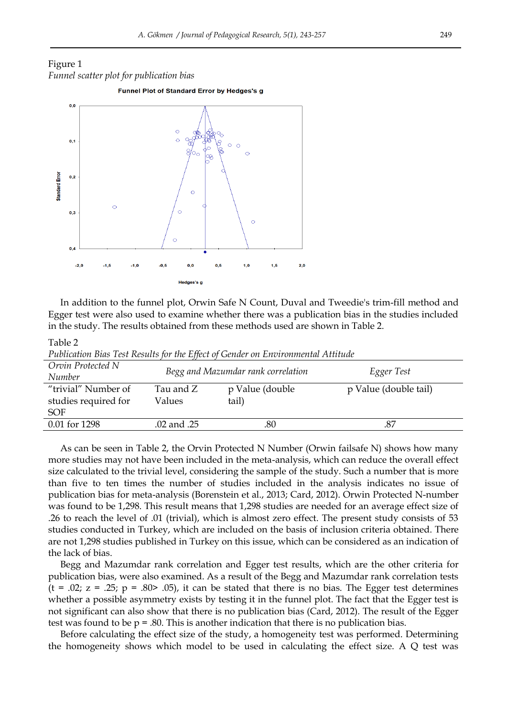## Figure 1 *Funnel scatter plot for publication bias*





In addition to the funnel plot, Orwin Safe N Count, Duval and Tweedie's trim-fill method and Egger test were also used to examine whether there was a publication bias in the studies included in the study. The results obtained from these methods used are shown in Table 2.

Table 2

*Publication Bias Test Results for the Effect of Gender on Environmental Attitude* 

| Orvin Protected N<br>Number                        |                     | Begg and Mazumdar rank correlation | Egger Test            |
|----------------------------------------------------|---------------------|------------------------------------|-----------------------|
| "trivial" Number of<br>studies required for<br>SOF | Tau and Z<br>Values | p Value (double<br>tail)           | p Value (double tail) |
| 0.01 for 1298                                      | .02 and .25         | .80                                | .87                   |

As can be seen in Table 2, the Orvin Protected N Number (Orwin failsafe N) shows how many more studies may not have been included in the meta-analysis, which can reduce the overall effect size calculated to the trivial level, considering the sample of the study. Such a number that is more than five to ten times the number of studies included in the analysis indicates no issue of publication bias for meta-analysis (Borenstein et al., 2013; Card, 2012). Orwin Protected N-number was found to be 1,298. This result means that 1,298 studies are needed for an average effect size of .26 to reach the level of .01 (trivial), which is almost zero effect. The present study consists of 53 studies conducted in Turkey, which are included on the basis of inclusion criteria obtained. There are not 1,298 studies published in Turkey on this issue, which can be considered as an indication of the lack of bias.

Begg and Mazumdar rank correlation and Egger test results, which are the other criteria for publication bias, were also examined. As a result of the Begg and Mazumdar rank correlation tests  $(t = .02; z = .25; p = .80$   $\ge$  .05), it can be stated that there is no bias. The Egger test determines whether a possible asymmetry exists by testing it in the funnel plot. The fact that the Egger test is not significant can also show that there is no publication bias (Card, 2012). The result of the Egger test was found to be  $p = .80$ . This is another indication that there is no publication bias.

Before calculating the effect size of the study, a homogeneity test was performed. Determining the homogeneity shows which model to be used in calculating the effect size. A  $Q$  test was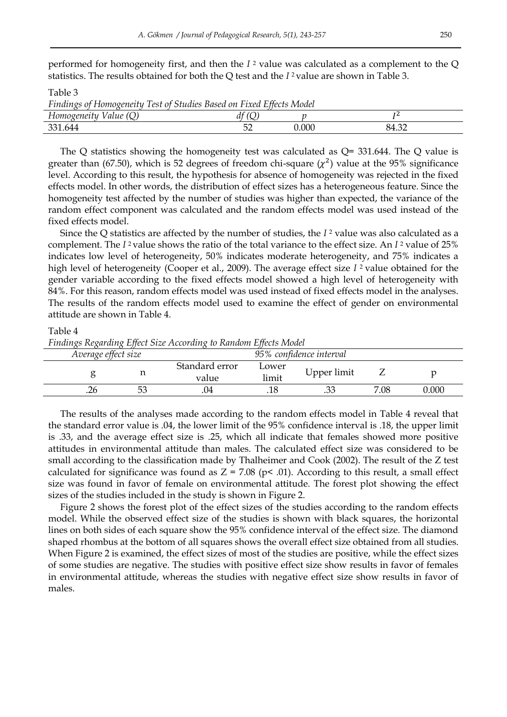performed for homogeneity first, and then the *I* 2 value was calculated as a complement to the Q statistics. The results obtained for both the Q test and the *I* 2 value are shown in Table 3.

#### Table 3

*Findings of Homogeneity Test of Studies Based on Fixed Effects Model* 

| iue<br>∽<br>~                     |                            |  |
|-----------------------------------|----------------------------|--|
| $\mathbf{r}$<br>$\cap$<br>◡▵<br>ー | .000<br>$\sim$ $\sim$<br>∸ |  |

The Q statistics showing the homogeneity test was calculated as  $Q = 331.644$ . The Q value is greater than (67.50), which is 52 degrees of freedom chi-square  $(\chi^2)$  value at the 95% significance level. According to this result, the hypothesis for absence of homogeneity was rejected in the fixed effects model. In other words, the distribution of effect sizes has a heterogeneous feature. Since the homogeneity test affected by the number of studies was higher than expected, the variance of the random effect component was calculated and the random effects model was used instead of the fixed effects model.

Since the Q statistics are affected by the number of studies, the *I* 2 value was also calculated as a complement. The *I* 2 value shows the ratio of the total variance to the effect size. An *I* <sup>2</sup> value of 25% indicates low level of heterogeneity, 50% indicates moderate heterogeneity, and 75% indicates a high level of heterogeneity (Cooper et al., 2009). The average effect size *I* 2 value obtained for the gender variable according to the fixed effects model showed a high level of heterogeneity with 84%. For this reason, random effects model was used instead of fixed effects model in the analyses. The results of the random effects model used to examine the effect of gender on environmental attitude are shown in Table 4.

#### Table 4

*Findings Regarding Effect Size According to Random Effects Model* 

|     | Average effect size |                         |                | 95% confidence interval |      |       |
|-----|---------------------|-------------------------|----------------|-------------------------|------|-------|
|     | ᅩ                   | Standard error<br>value | Lower<br>limit | Upper limit             |      |       |
| .26 | 53                  | .04                     | .18            |                         | 7.08 | 0.000 |

The results of the analyses made according to the random effects model in Table 4 reveal that the standard error value is .04, the lower limit of the 95% confidence interval is .18, the upper limit is .33, and the average effect size is .25, which all indicate that females showed more positive attitudes in environmental attitude than males. The calculated effect size was considered to be small according to the classification made by Thalheimer and Cook (2002). The result of the Z test calculated for significance was found as  $Z = 7.08$  (p $\leq$  .01). According to this result, a small effect size was found in favor of female on environmental attitude. The forest plot showing the effect sizes of the studies included in the study is shown in Figure 2.

Figure 2 shows the forest plot of the effect sizes of the studies according to the random effects model. While the observed effect size of the studies is shown with black squares, the horizontal lines on both sides of each square show the 95% confidence interval of the effect size. The diamond shaped rhombus at the bottom of all squares shows the overall effect size obtained from all studies. When Figure 2 is examined, the effect sizes of most of the studies are positive, while the effect sizes of some studies are negative. The studies with positive effect size show results in favor of females in environmental attitude, whereas the studies with negative effect size show results in favor of males.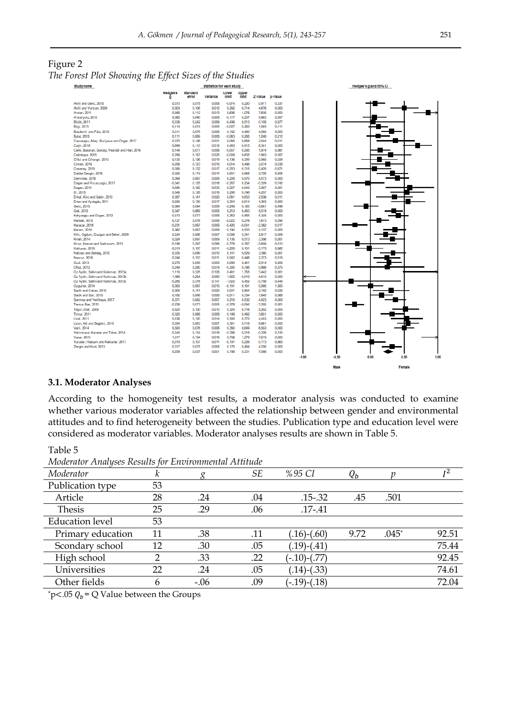Figure 2

| The Forest Plot Showing the Effect Sizes of the Studies |  |  |  |  |
|---------------------------------------------------------|--|--|--|--|
|---------------------------------------------------------|--|--|--|--|

| Study name |                                                |                   |                   | <b>Statistics for each study</b> |                   |                              |                   |                |         |         | Hedges's g and 95% CI |        |      |
|------------|------------------------------------------------|-------------------|-------------------|----------------------------------|-------------------|------------------------------|-------------------|----------------|---------|---------|-----------------------|--------|------|
|            |                                                | Hedges's<br>a     | Standard<br>error | Variance                         | Lower<br>limit    | <b>Upper</b><br><b>ilmit</b> | Z-Value           | <b>p-Value</b> |         |         |                       |        |      |
|            | Akilli and Genc. 2015                          | 0.073             | 0.075             | 0.006                            | $-0.074$          | 0.220                        | 0.971             | 0.331          |         |         |                       |        |      |
|            | Akilli and Yurtcan, 2009                       | 0.503             | 0.108             | 0.012                            | 0.292             | 0.714                        | 4,676             | 0.000          |         |         |                       |        |      |
|            | Arslan, 2011                                   | 0.856             | 0.112             | 0.013                            | 0.636             | 1,076                        | 7,635             | 0.000          |         |         |                       |        |      |
|            | Arslanyolu, 2010                               | 0.060             | 0.090             | 0.008                            | $-0.117$          | 0.237                        | 0.663             | 0.507          |         |         |                       |        |      |
|            | Bildik, 2011                                   | 0.038             | 0.242             | 0.059                            | $-0.438$          | 0.513                        | 0.155             | 0.877          |         |         |                       |        |      |
|            | Bilgi, 2013                                    | 0.118             | 0.074             | 0.005                            | $-0.027$          | 0.262                        | 1,593             | 0.111          |         |         |                       |        |      |
|            | Bozdemir and Faiz, 2018                        | 0.311             | 0.076             | 0.006                            | 0.162             | 0.460                        | 4.084             | 0.000          |         |         |                       |        |      |
|            | <b>Bulut, 2015</b>                             | 0.111             | 0.089             | 0.008                            | $-0.063$          | 0.285                        | 1.248             | 0.212          |         |         |                       |        |      |
|            | Cavusodiu, Altay, Nuriveya and Ongor, 2017     | 0.372             | 0.146             | 0.021                            | 0.085             | 0.658                        | 2,544             | 0.011          |         |         |                       |        |      |
|            | Cayir, 2016                                    | 0.699             | 0.110             | 0.012                            | 0,483             | 0,915                        | 6,341             | 0,000          |         |         |                       |        |      |
|            | Celik, Basaran, Gokalp, Yesildal and Han, 2016 | 0.144             | 0.077             | 0.006                            | $-0.007$          | 0.295                        | 1.874             | 0.061          |         |         |                       |        |      |
|            | Cetinkaya, 2015                                | 0.298             | 0.157             | 0.025                            | $-0.009$          | 0.605                        | 1.903             | 0.057          |         |         |                       |        |      |
|            | Ciftci and Cihangir, 2012                      | 0.132             | 0.136             | 0.019                            | $-0.136$          | 0.399                        | 0.965             | 0.334          |         |         |                       |        |      |
|            | Cimen, 2019                                    | 0.256             | 0,123             | 0.015                            | 0.014             | 0,498                        | 2,074             | 0,038          |         |         |                       |        |      |
|            | Cosanay, 2018                                  | 0.056             | 0.132             | 0.017                            | $-0.203$          | 0.315                        | 0.425             | 0.671          |         |         |                       |        |      |
|            | Daldal Geogin, 2015                            | 0.325             | 0.119             | 0.014                            | 0,091             | 0,558                        | 2,729             | 0.006          |         |         |                       |        |      |
|            | Demirtas, 2016                                 | 0.399             | 0.087             | 0.008                            | 0.228             | 0.570                        | 4,573             | 0.000          |         |         |                       |        |      |
|            | Dogan and Purutcuoglu, 2017                    | $-0.041$<br>0.585 | 0.125<br>0.182    | 0.016<br>0.033                   | $-0.287$<br>0.227 | 0.204<br>0.942               | $-0.329$<br>3.207 | 0.742<br>0.001 |         |         |                       |        |      |
|            | Dogan, 2013<br>Er. 2015                        | 0.546             |                   |                                  |                   |                              |                   |                |         |         |                       |        |      |
|            | Erkal, Kilic and Sahin, 2012                   | 0.357             | 0.128<br>0.141    | 0.016<br>0.020                   | 0.295<br>0.081    | 0.798<br>0.633               | 4.257<br>2.538    | 0.000<br>0.011 |         |         |                       |        |      |
|            | Erten and Avdogdu, 2011                        | 0.559             | 0.130             | 0.017                            | 0.304             | 0.814                        | 4.303             | 0.000          |         |         |                       |        |      |
|            | Genc. 2015                                     | 0.064             | 0.094             | 0.009                            | 0.248             | 0.120                        | $-0.681$          | 0.496          |         |         |                       |        |      |
|            | Gok. 2012                                      | 0.347             | 0.089             | 0.005                            | 0.212             | 0.483                        | 5,019             | 0.000          |         |         |                       |        |      |
|            | Kahyaoglu and Ozgen, 2012                      | 0.413             | 0.077             | 0.006                            | 0.262             | 0.565                        | 5.345             | 0.000          |         |         |                       |        |      |
|            | Kanbak, 2015                                   | 0.127             | 0.076             | 0.006                            | $-0.022$          | 0.276                        | 1,673             | 0.094          |         |         |                       |        |      |
|            | Karacar, 2016                                  | $-0.231$          | 0.097             | 0.009                            | $-0.420$          | $-0.041$                     | $-2.382$          | 0.017          |         |         |                       |        |      |
|            | Kerem, 2014                                    | 0.362             | 0.087             | 0.008                            | 0.190             | 0.533                        | 4.137             | 0.000          |         |         |                       |        |      |
|            | Kilic, Ogdum, Duzgun and Seker, 2009           | 0.224             | 0.086             | 0.007                            | 0.056             | 0.391                        | 2.617             | 0.009          |         |         |                       |        |      |
|            | Kinali, 2014                                   | 0.324             | 0.097             | 0.009                            | 0.135             | 0.513                        | 3,356             | 0.001          |         |         |                       |        |      |
|            | Kiraz, Ilseven and Sadrazam, 2012              | $-0.196$          | 0.297             | 0.088                            | $-0.778$          | 0.387                        | $-0.658$          | 0.510          |         |         |                       |        |      |
|            | Koklumar, 2016                                 | $-0.019$          | 0.107             | 0.011                            | 0.228             | 0.191                        | $-0.173$          | 0.862          |         |         |                       |        |      |
|            | Nalcaci and Beldag, 2012                       | 0.335             | 0.099             | 0.010                            | 0.141             | 0.529                        | 3,380             | 0.001          |         |         |                       |        |      |
|            | Navruz, 2016                                   | 0.244             | 0.103             | 0.011                            | 0.042             | 0.446                        | 2.373             | 0.018          |         |         |                       |        |      |
|            | Ocal, 2013                                     | 0.276             | 0.095             | 0.009                            | 0.090             | 0.461                        | 2.914             | 0.004          |         |         |                       |        |      |
|            | Offaz, 2012                                    | 0.249             | 0.280             | 0.079                            | $-0.300$          | 0.798                        | 0.888             | 0.375          |         |         |                       |        |      |
|            | Oz Avdin, Sahin and Korkmaz, 2013a             | 1.118             | 0.325             | 0.106                            | 0.481             | 1.755                        | 3.442             | 0.001          |         |         |                       |        |      |
|            | Oz Aydin, Sahin and Korkmaz, 2013b             | $-1.366$          | 0.284             | 0.080                            | $-1.922$          | $-0.810$                     | $-4.815$          | 0.000          |         |         |                       |        |      |
|            | Oz Avdin, Sahin and Korkmaz, 2013c             | $-0.285$          | 0.376             | 0.141                            | $-1.022$          | 0.452                        | $-0.758$          | 0.448          |         |         |                       |        |      |
|            | Ozgurler, 2014                                 | 0.000             | 0.097             | 0.010                            | $-0.191$          | 0.191                        | 0,000             | 1,000          |         |         |                       |        |      |
|            | Sadik and Cakan, 2010                          | 0.308             | 0.141             | 0.020                            | 0.031             | 0.584                        | 2.182             | 0.029          |         |         |                       |        |      |
|            | Sadik and Sari, 2010                           | 0.162             | 0.088             | 0.008                            | $-0.011$          | 0.334                        | 1.840             | 0.066          |         |         |                       |        |      |
|            | Sonmez and Yerlikaya, 2017                     | 0.371             | 0.082             | 0.007                            | 0.210             | 0.532                        | 4,523             | 0.000          |         |         |                       |        |      |
|            | Tarsus Bas, 2010                               | $-0.236$          | 0.073             | 0.005                            | $-0.378$          | 0.094                        | $-3.255$          | 0,001          |         |         |                       |        |      |
|            | Tavci Unal. 2009                               | 0.520             | 0.100             | 0.010                            | 0.324             | 0.716                        | 5.202             | 0.000          |         |         |                       |        |      |
|            | Timur. 2011                                    | 0.320             | 0.088             | 0.008                            | 0.148             | 0.492                        | 3,651             | 0.000          |         |         |                       |        |      |
|            | <b>Unal, 2011</b>                              | 0.536             | 0.120             | 0.014                            | 0.300             | 0.772                        | 4,453             | 0.000          |         |         |                       |        |      |
|            | Uzun, Atli and Saglam, 2010                    | 0.554             | 0.083             | 0.007                            | 0.391             | 0.718                        | 6,661             | 0.000          |         |         |                       |        |      |
|            | Varli, 2014                                    | 0.500             | 0.076             | 0.006                            | 0,350             | 0.649                        | 6,553             | 0.000          |         |         |                       |        |      |
|            | Yalcinkava, Karatas and Talas, 2014            | $-0.044$          | 0.134             | 0.018                            | $-0.306$          | 0.218                        | $-0.328$          | 0.743          |         |         |                       |        |      |
|            | Yasar, 2013                                    | 1.017             | 0.134             | 0.018                            | 0.756             | 1.279                        | 7,619             | 0.000          |         |         |                       |        |      |
|            | Yurudur, Hasturk and Koklunar, 2017            | 0.018             | 0.107<br>0.075    | 0.011                            | $-0.191$          | 0.228<br>0.464               | 0.173             | 0.863          |         |         |                       |        |      |
|            | Zengin and Kunt, 2013                          | 0.317             |                   | 0,006                            | 0,170             |                              | 4,230             | 0,000          |         |         |                       |        |      |
|            |                                                | 0.259             | 0.037             | 0.001                            | 0.188             | 0.331                        | 7,088             | 0.000          |         |         |                       |        |      |
|            |                                                |                   |                   |                                  |                   |                              |                   |                | $-1,00$ | $-0.50$ | 0.00                  | 0,50   | 1,00 |
|            |                                                |                   |                   |                                  |                   |                              |                   |                |         |         |                       |        |      |
|            |                                                |                   |                   |                                  |                   |                              |                   |                |         | Male    |                       | Female |      |
|            |                                                |                   |                   |                                  |                   |                              |                   |                |         |         |                       |        |      |

#### **3.1. Moderator Analyses**

According to the homogeneity test results, a moderator analysis was conducted to examine whether various moderator variables affected the relationship between gender and environmental attitudes and to find heterogeneity between the studies. Publication type and education level were considered as moderator variables. Moderator analyses results are shown in Table 5.

Table 5

*Moderator Analyses Results for Environmental Attitude* 

| THEODOFIT FILMMAGOO I WOMANO TOT ENTON OTMINOTIAM I INVENING |               |        |     |                    |              |         |       |
|--------------------------------------------------------------|---------------|--------|-----|--------------------|--------------|---------|-------|
| Moderator                                                    | κ             |        | SЕ  | %95 CI             | $Q_{\bm{b}}$ |         | $I^2$ |
| Publication type                                             | 53            |        |     |                    |              |         |       |
| Article                                                      | 28            | .24    | .04 | $.15 - .32$        | .45          | .501    |       |
| <b>Thesis</b>                                                | 25            | .29    | .06 | $.17 - .41$        |              |         |       |
| <b>Education</b> level                                       | 53            |        |     |                    |              |         |       |
| Primary education                                            | 11            | .38    | .11 | $(.16)-(.60)$      | 9.72         | $.045*$ | 92.51 |
| Scondary school                                              | 12            | .30    | .05 | $(.19)$ - $(.41)$  |              |         | 75.44 |
| High school                                                  | $\mathcal{P}$ | .33    | .22 | $(-.10)-(.77)$     |              |         | 92.45 |
| Universities                                                 | 22            | .24    | .05 | $(.14)$ - $(.33)$  |              |         | 74.61 |
| Other fields                                                 | 6             | $-.06$ | .09 | $(-.19)$ - $(.18)$ |              |         | 72.04 |
|                                                              |               |        |     |                    |              |         |       |

\*p<.05  $Q_b$  = Q Value between the Groups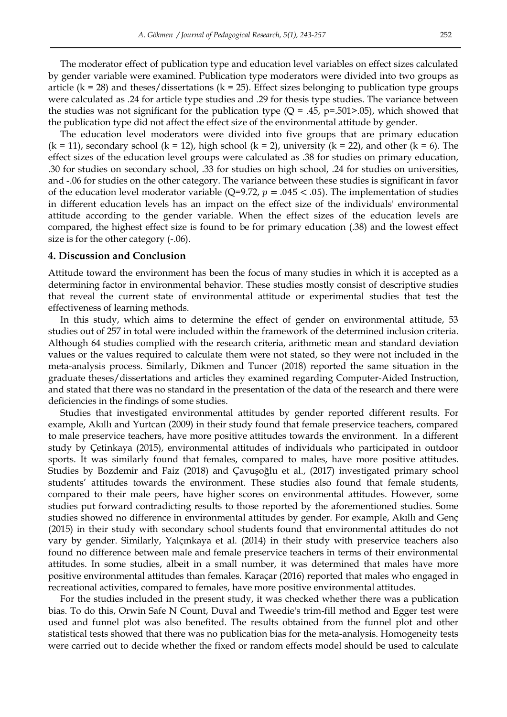The moderator effect of publication type and education level variables on effect sizes calculated by gender variable were examined. Publication type moderators were divided into two groups as article ( $k = 28$ ) and theses/dissertations ( $k = 25$ ). Effect sizes belonging to publication type groups were calculated as .24 for article type studies and .29 for thesis type studies. The variance between the studies was not significant for the publication type ( $Q = .45$ ,  $p = .501$ >.05), which showed that the publication type did not affect the effect size of the environmental attitude by gender.

The education level moderators were divided into five groups that are primary education  $(k = 11)$ , secondary school  $(k = 12)$ , high school  $(k = 2)$ , university  $(k = 22)$ , and other  $(k = 6)$ . The effect sizes of the education level groups were calculated as .38 for studies on primary education, .30 for studies on secondary school, .33 for studies on high school, .24 for studies on universities, and -.06 for studies on the other category. The variance between these studies is significant in favor of the education level moderator variable (Q=9.72,  $p = .045 < .05$ ). The implementation of studies in different education levels has an impact on the effect size of the individuals' environmental attitude according to the gender variable. When the effect sizes of the education levels are compared, the highest effect size is found to be for primary education (.38) and the lowest effect size is for the other category (-.06).

#### **4. Discussion and Conclusion**

Attitude toward the environment has been the focus of many studies in which it is accepted as a determining factor in environmental behavior. These studies mostly consist of descriptive studies that reveal the current state of environmental attitude or experimental studies that test the effectiveness of learning methods.

In this study, which aims to determine the effect of gender on environmental attitude, 53 studies out of 257 in total were included within the framework of the determined inclusion criteria. Although 64 studies complied with the research criteria, arithmetic mean and standard deviation values or the values required to calculate them were not stated, so they were not included in the meta-analysis process. Similarly, Dikmen and Tuncer (2018) reported the same situation in the graduate theses/dissertations and articles they examined regarding Computer-Aided Instruction, and stated that there was no standard in the presentation of the data of the research and there were deficiencies in the findings of some studies.

Studies that investigated environmental attitudes by gender reported different results. For example, Akıllı and Yurtcan (2009) in their study found that female preservice teachers, compared to male preservice teachers, have more positive attitudes towards the environment. In a different study by Çetinkaya (2015), environmental attitudes of individuals who participated in outdoor sports. It was similarly found that females, compared to males, have more positive attitudes. Studies by Bozdemir and Faiz (2018) and Çavuşoğlu et al., (2017) investigated primary school students' attitudes towards the environment. These studies also found that female students, compared to their male peers, have higher scores on environmental attitudes. However, some studies put forward contradicting results to those reported by the aforementioned studies. Some studies showed no difference in environmental attitudes by gender. For example, Akıllı and Genç (2015) in their study with secondary school students found that environmental attitudes do not vary by gender. Similarly, Yalçınkaya et al. (2014) in their study with preservice teachers also found no difference between male and female preservice teachers in terms of their environmental attitudes. In some studies, albeit in a small number, it was determined that males have more positive environmental attitudes than females. Karaçar (2016) reported that males who engaged in recreational activities, compared to females, have more positive environmental attitudes.

For the studies included in the present study, it was checked whether there was a publication bias. To do this, Orwin Safe N Count, Duval and Tweedie's trim-fill method and Egger test were used and funnel plot was also benefited. The results obtained from the funnel plot and other statistical tests showed that there was no publication bias for the meta-analysis. Homogeneity tests were carried out to decide whether the fixed or random effects model should be used to calculate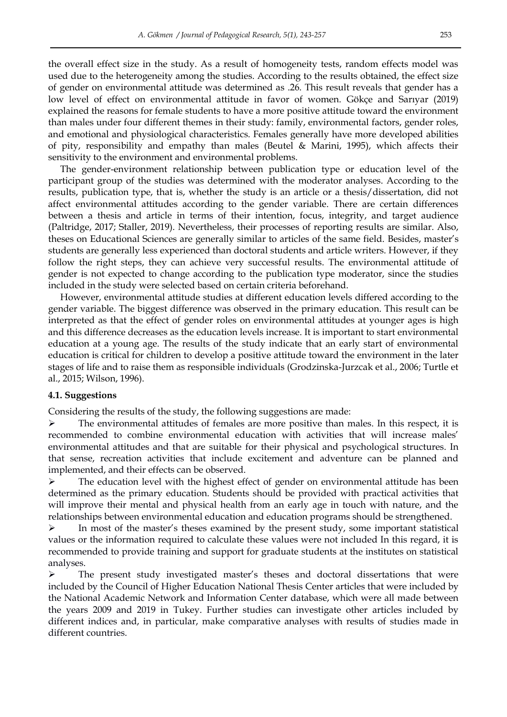the overall effect size in the study. As a result of homogeneity tests, random effects model was used due to the heterogeneity among the studies. According to the results obtained, the effect size of gender on environmental attitude was determined as .26. This result reveals that gender has a low level of effect on environmental attitude in favor of women. Gökçe and Sarıyar (2019) explained the reasons for female students to have a more positive attitude toward the environment than males under four different themes in their study: family, environmental factors, gender roles, and emotional and physiological characteristics. Females generally have more developed abilities of pity, responsibility and empathy than males (Beutel & Marini, 1995), which affects their sensitivity to the environment and environmental problems.

The gender-environment relationship between publication type or education level of the participant group of the studies was determined with the moderator analyses. According to the results, publication type, that is, whether the study is an article or a thesis/dissertation, did not affect environmental attitudes according to the gender variable. There are certain differences between a thesis and article in terms of their intention, focus, integrity, and target audience (Paltridge, 2017; Staller, 2019). Nevertheless, their processes of reporting results are similar. Also, theses on Educational Sciences are generally similar to articles of the same field. Besides, master's students are generally less experienced than doctoral students and article writers. However, if they follow the right steps, they can achieve very successful results. The environmental attitude of gender is not expected to change according to the publication type moderator, since the studies included in the study were selected based on certain criteria beforehand.

However, environmental attitude studies at different education levels differed according to the gender variable. The biggest difference was observed in the primary education. This result can be interpreted as that the effect of gender roles on environmental attitudes at younger ages is high and this difference decreases as the education levels increase. It is important to start environmental education at a young age. The results of the study indicate that an early start of environmental education is critical for children to develop a positive attitude toward the environment in the later stages of life and to raise them as responsible individuals (Grodzinska-Jurzcak et al., 2006; Turtle et al., 2015; Wilson, 1996).

#### **4.1. Suggestions**

Considering the results of the study, the following suggestions are made:

 $\triangleright$  The environmental attitudes of females are more positive than males. In this respect, it is recommended to combine environmental education with activities that will increase males' environmental attitudes and that are suitable for their physical and psychological structures. In that sense, recreation activities that include excitement and adventure can be planned and implemented, and their effects can be observed.

 $\triangleright$  The education level with the highest effect of gender on environmental attitude has been determined as the primary education. Students should be provided with practical activities that will improve their mental and physical health from an early age in touch with nature, and the relationships between environmental education and education programs should be strengthened.

 $\triangleright$  In most of the master's theses examined by the present study, some important statistical values or the information required to calculate these values were not included In this regard, it is recommended to provide training and support for graduate students at the institutes on statistical analyses.

 $\triangleright$  The present study investigated master's theses and doctoral dissertations that were included by the Council of Higher Education National Thesis Center articles that were included by the National Academic Network and Information Center database, which were all made between the years 2009 and 2019 in Tukey. Further studies can investigate other articles included by different indices and, in particular, make comparative analyses with results of studies made in different countries.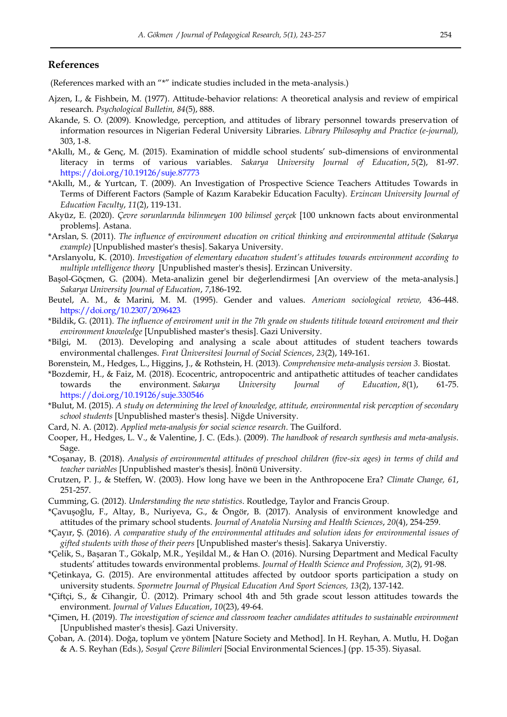#### **References**

(References marked with an "\*" indicate studies included in the meta-analysis.)

- Ajzen, I., & Fishbein, M. (1977). Attitude-behavior relations: A theoretical analysis and review of empirical research. *Psychological Bulletin, 84*(5), 888.
- Akande, S. O. (2009). Knowledge, perception, and attitudes of library personnel towards preservation of information resources in Nigerian Federal University Libraries. *Library Philosophy and Practice (e-journal),*  303, 1-8.
- \*Akıllı, M., & Genç, M. (2015). Examination of middle school students' sub-dimensions of environmental literacy in terms of various variables. *Sakarya University Journal of Education*, *5*(2), 81-97. <https://doi.org/10.19126/suje.87773>
- \*Akıllı, M., & Yurtcan, T. (2009). An Investigation of Prospective Science Teachers Attitudes Towards in Terms of Different Factors (Sample of Kazım Karabekir Education Faculty). *Erzincan University Journal of Education Faculty*, *11*(2), 119-131.
- Akyüz, E. (2020). *Çevre sorunlarında bilinmeyen 100 bilimsel gerçek* [100 unknown facts about environmental problems]*.* Astana.
- \*Arslan, S. (2011). *The influence of environment education on critical thinking and environmental attitude (Sakarya example)* [Unpublished master's thesis]. Sakarya University.
- \*Arslanyolu, K. (2010). *Investigation of elementary educatıon student's attitudes towards environment according to multiple ıntelligence theory* [Unpublished master's thesis]. Erzincan University.
- Başol-Göçmen, G. (2004). Meta-analizin genel bir değerlendirmesi [An overview of the meta-analysis.] *Sakarya University Journal of Education*, *7*,186-192.
- Beutel, A. M., & Marini, M. M. (1995). Gender and values. *American sociological review,* 436-448. <https://doi.org/10.2307/2096423>
- \*Bildik, G. (2011). *The influence of enviroment unit in the 7th grade on students tititude toward enviroment and their environment knowledge* [Unpublished master's thesis]. Gazi University.
- \*Bilgi, M. (2013). Developing and analysing a scale about attitudes of student teachers towards environmental challenges. *Fırat Üniversitesi Journal of Social Sciences*, *23*(2), 149-161.
- Borenstein, M., Hedges, L., Higgins, J., & Rothstein, H. (2013). *Comprehensive meta-analysis version 3.* Biostat.
- \*Bozdemir, H., & Faiz, M. (2018). Ecocentric, antropocentric and antipathetic attitudes of teacher candidates towards the environment. *Sakarya University Journal of Education*, *8*(1), 61-75. <https://doi.org/10.19126/suje.330546>
- \*Bulut, M. (2015). *A study on determining the level of knowledge, attitude, environmental risk perception of secondary school students* [Unpublished master's thesis]. Niğde University.
- Card, N. A. (2012). *Applied meta-analysis for social science research*. The Guilford.
- Cooper, H., Hedges, L. V., & Valentine, J. C. (Eds.). (2009). *The handbook of research synthesis and meta-analysis*. Sage.
- \*Coşanay, B. (2018). *Analysis of environmental attitudes of preschool children (five-six ages) in terms of child and teacher variables* [Unpublished master's thesis]. İnönü University.
- Crutzen, P. J., & Steffen, W. (2003). How long have we been in the Anthropocene Era? *Climate Change, 61*, 251-257.
- Cumming, G. (2012). *Understanding the new statistics*. Routledge, Taylor and Francis Group.
- \*Çavuşoğlu, F., Altay, B., Nuriyeva, G., & Öngör, B. (2017). Analysis of environment knowledge and attitudes of the primary school students. *Journal of Anatolia Nursing and Health Sciences*, *20*(4), 254-259.
- \*Çayır, Ş. (2016). *A comparative study of the environmental attitudes and solution ideas for environmental issues of gifted students with those of their peers* [Unpublished master's thesis]. Sakarya Universtiy.
- \*Çelik, S., Başaran T., Gökalp, M.R., Yeşildal M., & Han O. (2016). Nursing Department and Medical Faculty students' attitudes towards environmental problems. *Journal of Health Science and Profession, 3*(2), 91-98.
- \*Çetinkaya, G. (2015). Are environmental attitudes affected by outdoor sports participation a study on university students. *Spormetre Journal of Physical Education And Sport Sciences, 13*(2), 137-142.
- \*Çiftçi, S., & Cihangir, Ü. (2012). Primary school 4th and 5th grade scout lesson attitudes towards the environment. *Journal of Values Education*, *10*(23), 49-64.
- \*Çimen, H. (2019). *The investigation of science and classroom teacher candidates attitudes to sustainable environment* [Unpublished master's thesis]. Gazi University.
- Çoban, A. (2014). Doğa, toplum ve yöntem [Nature Society and Method]. In H. Reyhan, A. Mutlu, H. Doğan & A. S. Reyhan (Eds.), *Sosyal Çevre Bilimleri* [Social Environmental Sciences.] (pp. 15-35). Siyasal.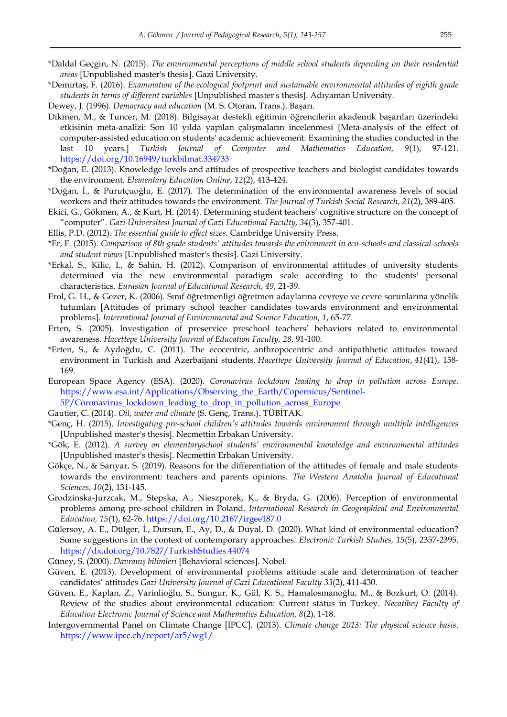- \*Daldal Geçgin, N. (2015). *The environmental perceptions of middle school students depending on their residential areas* [Unpublished master's thesis]. Gazi University.
- \*Demirtaş, F. (2016). *Examınation of the ecological footprint and sustainable envıronmental attitudes of eighth grade students in terms of different variables* [Unpublished master's thesis]. Adıyaman University.
- Dewey, J. (1996). *Democracy and education* (M. S. Otoran, Trans.). Başarı.
- Dikmen, M., & Tuncer, M. (2018). Bilgisayar destekli eğitimin öğrencilerin akademik başarıları üzerindeki etkisinin meta-analizi: Son 10 yılda yapılan çalışmaların incelenmesi [Meta-analysis of the effect of computer-assisted education on students' academic achievement: Examining the studies conducted in the last 10 years.] *Turkish Journal of Computer and Mathematics Education, 9*(1), 97-121. <https://doi.org/10.16949/turkbilmat.334733>
- \*Doğan, E. (2013). Knowledge levels and attitudes of prospective teachers and biologist candidates towards the environment. *Elementary Education Online*, *12*(2), 413-424.
- \*Doğan, İ., & Purutçuoğlu, E. (2017). The determination of the environmental awareness levels of social workers and their attitudes towards the environment. *The Journal of Turkish Social Research*, *21*(2), 389-405.
- Ekici, G., Gökmen, A., & Kurt, H. (2014). Determining student teachers' cognitive structure on the concept of ―computer‖. *Gazi Üniversitesi Journal of Gazi Educational Faculty, 34*(3), 357-401.
- Ellis, P.D. (2012). *The essential guide to effect sizes.* Cambridge University Press.
- \*Er, F. (2015). *Comparison of 8th grade students' attitudes towards the evironment in eco-schools and classical-schools and student views* [Unpublished master's thesis]. Gazi University.
- \*Erkal, S., Kilic, I., & Sahin, H. (2012). Comparison of environmental attitudes of university students determined via the new environmental paradigm scale according to the students' personal characteristics. *Eurasian Journal of Educational Research*, *49*, 21-39.
- Erol, G. H., & Gezer, K. (2006). Sınıf öğretmenligi öğretmen adaylarına cevreye ve cevre sorunlarına yönelik tutumları [Attitudes of primary school teacher candidates towards environment and environmental problems]. *International Journal of Environmental and Science Education, 1*, 65-77.
- Erten, S. (2005). Investigation of preservice preschool teachers' behaviors related to environmental awareness. *Hacettepe University Journal of Education Faculty, 28*, 91-100.
- \*Erten, S., & Aydoğdu, C. (2011). The ecocentric, anthropocentric and antipathhetic attitudes toward environment in Turkish and Azerbaijani students. *Hacettepe University Journal of Education*, *41*(41), 158- 169.
- European Space Agency (ESA). (2020). *Coronavirus lockdown leading to drop in pollution across Europe.*  [https://www.esa.int/Applications/Observing\\_the\\_Earth/Copernicus/Sentinel-](https://www.esa.int/Applications/Observing_the_Earth/Copernicus/Sentinel-5P/Coronavirus_lockdown_leading_to_drop_in_pollution_across_Europe)
- [5P/Coronavirus\\_lockdown\\_leading\\_to\\_drop\\_in\\_pollution\\_across\\_Europe](https://www.esa.int/Applications/Observing_the_Earth/Copernicus/Sentinel-5P/Coronavirus_lockdown_leading_to_drop_in_pollution_across_Europe)
- Gautier, C. (2014). *Oil, water and climate* (S. Genç, Trans.). TÜBİTAK.
- \*Genç, H. (2015). *Investigating pre-school children's attitudes towards environment through multiple intelligences*  [Unpublished master's thesis]. Necmettin Erbakan University.
- \*Gök, E. (2012). *A survey on elementaryschool students' environmental knowledge and environmental attitudes* [Unpublished master's thesis]. Necmettin Erbakan University.
- Gökçe, N., & Sarıyar, S. (2019). Reasons for the differentiation of the attitudes of female and male students towards the environment: teachers and parents opinions. *The Western Anatolia Journal of Educational Sciences, 10*(2), 131-145.
- Grodzinska-Jurzcak, M., Stepska, A., Nieszporek, K., & Bryda, G. (2006). Perception of environmental problems among pre-school children in Poland. *International Research in Geographical and Environmental Education, 15*(1), 62-76.<https://doi.org/10.2167/irgee187.0>
- Gülersoy, A. E., Dülger, İ., Dursun, E., Ay, D., & Duyal, D. (2020). What kind of environmental education? Some suggestions in the context of contemporary approaches. *Electronic Turkish Studies, 15*(5), 2357-2395. <https://dx.doi.org/10.7827/TurkishStudies.44074>
- Güney, S. (2000). *Davranış bilimleri* [Behavioral sciences]. Nobel.
- Güven, E. (2013). Development of environmental problems attitude scale and determination of teacher candidates' attitudes *Gazi University Journal of Gazi Educational Faculty 33*(2), 411-430.
- Güven, E., Kaplan, Z., Varinlioğlu, S., Sungur, K., Gül, K. S., Hamalosmanoğlu, M., & Bozkurt, O. (2014). Review of the studies about environmental education: Current status in Turkey. *Necatibey Faculty of Education Electronic Journal of Science and Mathematics Education, 8*(2), 1-18.
- Intergovernmental Panel on Climate Change [IPCC]. (2013). *Climate change 2013: The physical science basis*. <https://www.ipcc.ch/report/ar5/wg1/>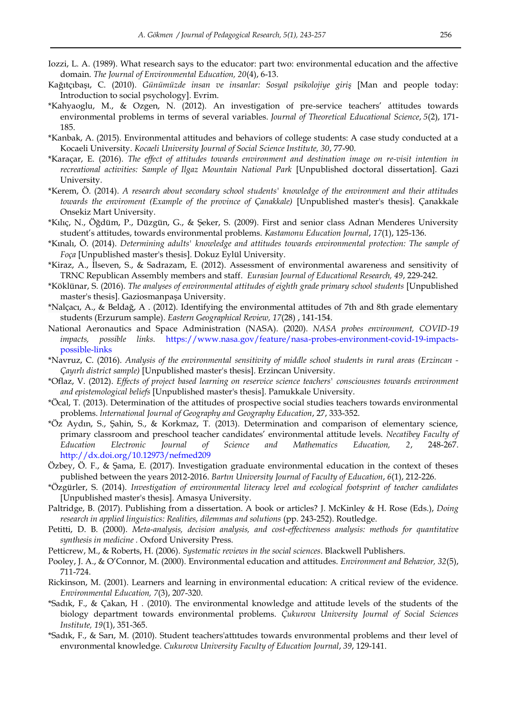- Iozzi, L. A. (1989). What research says to the educator: part two: environmental education and the affective domain. *The Journal of Environmental Education, 20*(4), 6-13.
- Kağıtçıbaşı, C. (2010). *Günümüzde insan ve insanlar: Sosyal psikolojiye giriş* [Man and people today: Introduction to social psychology]. Evrim.
- \*Kahyaoglu, M., & Ozgen, N. (2012). An investigation of pre-service teachers' attitudes towards environmental problems in terms of several variables. *Journal of Theoretical Educational Science*, *5*(2), 171- 185.
- \*Kanbak, A. (2015). Environmental attitudes and behaviors of college students: A case study conducted at a Kocaeli University. *Kocaeli University Journal of Social Science Institute, 30*, 77-90.
- \*Karaçar, E. (2016). *The effect of attitudes towards environment and destination image on re-visit intention in recreational activities: Sample of Ilgaz Mountain National Park* [Unpublished doctoral dissertation]. Gazi University.
- \*Kerem, Ö. (2014). *A research about secondary school students' knowledge of the environment and their attitudes towards the enviroment (Example of the province of Çanakkale)* [Unpublished master's thesis]. Çanakkale Onsekiz Mart University.
- \*Kılıç, N., Öğdüm, P., Düzgün, G., & Şeker, S. (2009). First and senior class Adnan Menderes University student's attitudes, towards environmental problems. *Kastamonu Education Journal*, *17*(1), 125-136.
- \*Kınalı, Ö. (2014). *Determining adults' knowledge and attitudes towards environmental protection: The sample of Foça* [Unpublished master's thesis]. Dokuz Eylül University.
- \*Kiraz, A., İlseven, S., & Sadrazam, E. (2012). Assessment of environmental awareness and sensitivity of TRNC Republican Assembly members and staff. *Eurasian Journal of Educational Research, 49*, 229-242.
- \*Köklünar, S. (2016). *The analyses of environmental attitudes of eighth grade primary school students* [Unpublished master's thesis]. Gaziosmanpaşa University.
- \*Nalçacı, A., & Beldağ, A . (2012). Identifying the environmental attitudes of 7th and 8th grade elementary students (Erzurum sample). *Eastern Geographical Review, 17*(28) , 141-154.
- National Aeronautics and Space Administration (NASA). (2020). *NASA probes environment, COVID-19 impacts, possible links.* [https://www.nasa.gov/feature/nasa-probes-environment-covid-19-impacts](https://www.nasa.gov/feature/nasa-probes-environment-covid-19-impacts-possible-links)[possible-links](https://www.nasa.gov/feature/nasa-probes-environment-covid-19-impacts-possible-links)
- \*Navruz, C. (2016). *Analysis of the environmental sensitivity of middle school students in rural areas (Erzincan Çayırlı district sample)* [Unpublished master's thesis]. Erzincan University.
- \*Oflaz, V. (2012). *Effects of project based learning on reservice science teachers' consciousnes towards environment and epistemological beliefs* [Unpublished master's thesis]. Pamukkale University.
- \*Öcal, T. (2013). Determination of the attitudes of prospective social studies teachers towards environmental problems. *lnternational Journal of Geography and Geography Education*, 27, 333-352.
- \*Öz Aydın, S., Şahin, S., & Korkmaz, T. (2013). Determination and comparison of elementary science, primary classroom and preschool teacher candidates' environmental attitude levels. *Necatibey Faculty of Education Electronic Journal of Science and Mathematics Education, 2*, 248-267. <http://dx.doi.org/10.12973/nefmed209>
- Özbey, Ö. F., & Şama, E. (2017). Investigation graduate environmental education in the context of theses published between the years 2012-2016. *Bartın University Journal of Faculty of Education*, *6*(1), 212-226.
- \*Özgürler, S. (2014). *Investigation of environmental literacy level and ecological footsprint of teacher candidates*  [Unpublished master's thesis]. Amasya University.
- Paltridge, B. (2017). Publishing from a dissertation. A book or articles? J. McKinley & H. Rose (Eds.), *Doing*  research in applied linguistics: Realities, dilemmas and solutions (pp. 243-252). Routledge.
- Petitti, D. B. (2000). *Meta-analysis, decision analysis, and cost-effectiveness analysis: methods for quantitative synthesis in medicine .* Oxford University Press.
- Petticrew, M., & Roberts, H. (2006). *Systematic reviews in the social sciences*. Blackwell Publishers.
- Pooley, J. A., & O'Connor, M. (2000). Environmental education and attitudes. *Environment and Behavior, 32*(5), 711-724.
- Rickinson, M. (2001). Learners and learning in environmental education: A critical review of the evidence. *Environmental Education, 7*(3), 207-320.
- \*Sadık, F., & Çakan, H . (2010). The environmental knowledge and attitude levels of the students of the biology department towards environmental problems. *Çukurova University Journal of Social Sciences Institute, 19*(1), 351-365.
- \*Sadık, F., & Sarı, M. (2010). Student teachers'attıtudes towards envıronmental problems and theır level of envıronmental knowledge. *Cukurova University Faculty of Education Journal*, *39*, 129-141.